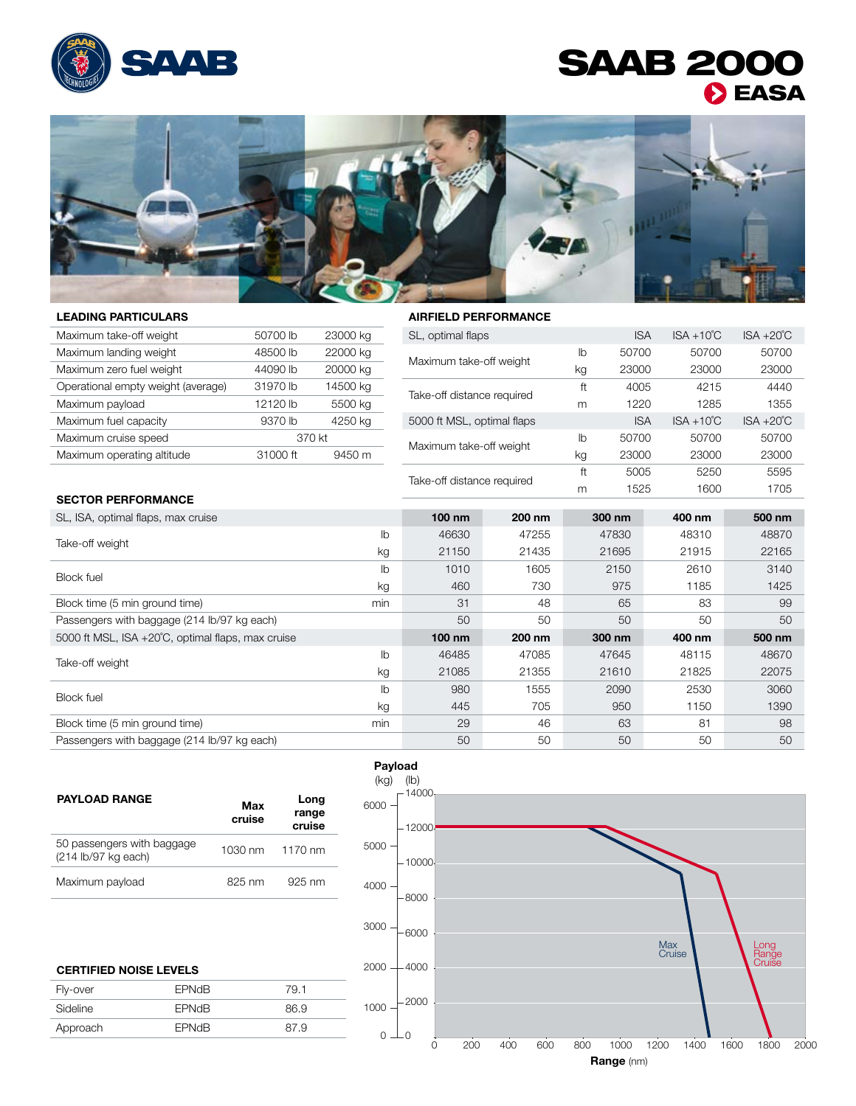

## SAAB 2000 **DEASA**



## Leading Particulars

## Airfield Performance

| Maximum take-off weight            | 50700 lb | 23000 kg | SL, optimal flaps                                                       |                                  | <b>ISA</b> | $ISA + 10^{\circ}C$ | $ISA + 20^{\circ}C$ |
|------------------------------------|----------|----------|-------------------------------------------------------------------------|----------------------------------|------------|---------------------|---------------------|
| Maximum landing weight             | 48500 lb | 22000 kg | 50700<br>50700<br>lb<br>Maximum take-off weight<br>23000<br>23000<br>kg | 50700                            |            |                     |                     |
| Maximum zero fuel weight           | 44090 lb | 20000 kg |                                                                         |                                  |            |                     | 23000               |
| Operational empty weight (average) | 31970 lb | 14500 kg |                                                                         | ft                               | 4005       | 4215                | 4440                |
| Maximum payload                    | 12120 lb | 5500 kg  | Take-off distance required                                              | m                                | 1220       | 1285                | 1355                |
| Maximum fuel capacity              | 9370 lb  | 4250 kg  | 5000 ft MSL, optimal flaps                                              |                                  | <b>ISA</b> | $ISA + 10^{\circ}C$ | $ISA + 20^{\circ}C$ |
| Maximum cruise speed               |          | 370 kt   | 50700<br>lb<br>Maximum take-off weight<br>23000<br>kg                   | 50700                            | 50700      |                     |                     |
| Maximum operating altitude         | 31000 ft | 9450 m   |                                                                         |                                  |            | 23000               | 23000               |
|                                    |          |          |                                                                         | ft<br>Take-off distance required | 5005       | 5250                | 5595                |
|                                    |          |          |                                                                         | m                                | 1525       | 1600                | 1705                |

## Sector Performance

| SL, ISA, optimal flaps, max cruise                |                | $100 \text{ nm}$ | 200 nm                       | 300 nm | 400 nm | 500 nm |
|---------------------------------------------------|----------------|------------------|------------------------------|--------|--------|--------|
| Take-off weight                                   | I <sub>b</sub> | 46630            | 47255                        | 47830  | 48310  | 48870  |
|                                                   | kg             | 21150            | 21435                        | 21695  | 21915  | 22165  |
| <b>Block fuel</b>                                 | lb             | 1010             | 1605                         | 2150   | 2610   | 3140   |
|                                                   | kg             | 460              | 730                          | 975    | 1185   | 1425   |
| Block time (5 min ground time)                    | min            | 31               | 48                           | 65     | 83     | 99     |
| Passengers with baggage (214 lb/97 kg each)       |                | 50               | 50                           | 50     | 50     | 50     |
| 5000 ft MSL, ISA +20°C, optimal flaps, max cruise |                | $100 \text{ nm}$ | 200 nm                       | 300 nm | 400 nm | 500 nm |
| Take-off weight                                   | $\mathsf{I}$   | 46485            | 47085                        | 47645  | 48115  | 48670  |
|                                                   | kg             | 21085            | 21355                        | 21610  | 21825  | 22075  |
| <b>Block fuel</b>                                 | I <sub>b</sub> | 980              | 1555<br>2090<br>2530<br>3060 |        |        |        |
|                                                   | kg             | 445              | 705                          | 950    | 1150   | 1390   |
| Block time (5 min ground time)                    | min            | 29               | 46                           | 63     | 81     | 98     |
| Passengers with baggage (214 lb/97 kg each)       |                | 50               | 50                           | 50     | 50     | 50     |

| <b>PAYLOAD RANGE</b>                              | Max<br>cruise | Long<br>range<br>cruise |
|---------------------------------------------------|---------------|-------------------------|
| 50 passengers with baggage<br>(214 lb/97 kg each) |               | 1030 nm 1170 nm         |
| Maximum payload                                   | 825 nm        | $925 \text{ nm}$        |

| <b>CERTIFIED NOISE LEVELS</b> |              |      |  |  |
|-------------------------------|--------------|------|--|--|
| Fly-over                      | <b>EPNdB</b> | 79.1 |  |  |
| Sideline                      | <b>FPNdB</b> | 86.9 |  |  |
| Approach                      | <b>EPNdB</b> | 87.9 |  |  |